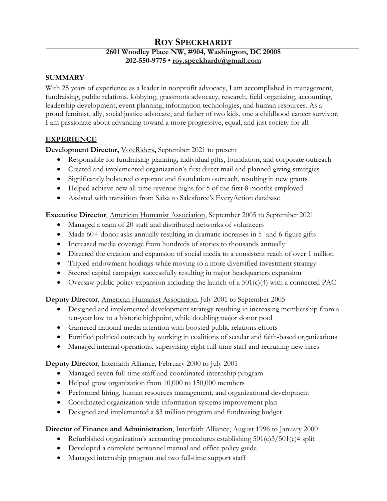# **ROY SPECKHARDT**

## **2601 Woodley Place NW, #904, Washington, DC 20008 202-550-9775 • [roy.speckhardt@gmail.com](mailto:roy.speckhardt@gmail.com)**

## **SUMMARY**

With 25 years of experience as a leader in nonprofit advocacy, I am accomplished in management, fundraising, public relations, lobbying, grassroots advocacy, research, field organizing, accounting, leadership development, event planning, information technologies, and human resources. As a proud feminist, ally, social justice advocate, and father of two kids, one a childhood cancer survivor, I am passionate about advancing toward a more progressive, equal, and just society for all.

## **EXPERIENCE**

## **Development Director,** [VoteRiders](https://www.voteriders.org/)**,** September 2021 to present

- Responsible for fundraising planning, individual gifts, foundation, and corporate outreach
- Created and implemented organization's first direct mail and planned giving strategies
- Significantly bolstered corporate and foundation outreach, resulting in new grants
- Helped achieve new all-time revenue highs for 5 of the first 8 months employed
- Assisted with transition from Salsa to Salesforce's EveryAction database

**Executive Director**, [American Humanist Association,](https://americanhumanist.org/) September 2005 to September 2021

- Managed a team of 20 staff and distributed networks of volunteers
- Made 60+ donor asks annually resulting in dramatic increases in 5- and 6-figure gifts
- Increased media coverage from hundreds of stories to thousands annually
- Directed the creation and expansion of social media to a consistent reach of over 1 million
- Tripled endowment holdings while moving to a more diversified investment strategy
- Steered capital campaign successfully resulting in major headquarters expansion
- Oversaw public policy expansion including the launch of a 501(c)(4) with a connected PAC

**Deputy Director**, [American Humanist Association,](https://americanhumanist.org/) July 2001 to September 2005

- Designed and implemented development strategy resulting in increasing membership from a ten-year low to a historic highpoint, while doubling major donor pool
- Garnered national media attention with boosted public relations efforts
- Fortified political outreach by working in coalitions of secular and faith-based organizations
- Managed internal operations, supervising eight full-time staff and recruiting new hires

## **Deputy Director**, [Interfaith Alliance,](https://interfaithalliance.org/) February 2000 to July 2001

- Managed seven full-time staff and coordinated internship program
- Helped grow organization from 10,000 to 150,000 members
- Performed hiring, human resources management, and organizational development
- Coordinated organization-wide information systems improvement plan
- Designed and implemented a \$3 million program and fundraising budget

## **Director of Finance and Administration**, [Interfaith Alliance,](https://interfaithalliance.org/) August 1996 to January 2000

- Refurbished organization's accounting procedures establishing  $501(c)3/501(c)4$  split
- Developed a complete personnel manual and office policy guide
- Managed internship program and two full-time support staff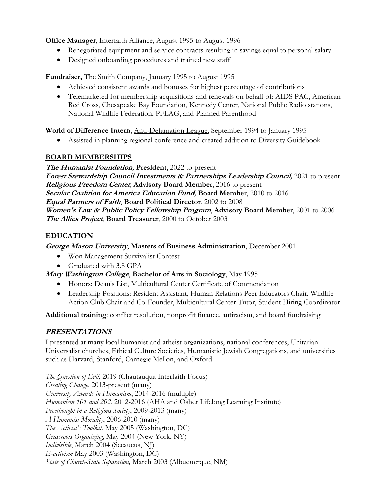**Office Manager**, [Interfaith Alliance,](https://interfaithalliance.org/) August 1995 to August 1996

- Renegotiated equipment and service contracts resulting in savings equal to personal salary
- Designed onboarding procedures and trained new staff

**Fundraiser,** The [Smith Company,](https://www.legacy.com/obituaries/washingtonpost/obituary.aspx?n=dennis-j-smith&pid=15248347) January 1995 to August 1995

- Achieved consistent awards and bonuses for highest percentage of contributions
- Telemarketed for membership acquisitions and renewals on behalf of: AIDS PAC, American Red Cross, Chesapeake Bay Foundation, Kennedy Center, National Public Radio stations, National Wildlife Federation, PFLAG, and Planned Parenthood

**World of Difference Intern**, [Anti-Defamation League,](https://www.adl.org/) September 1994 to January 1995

• Assisted in planning regional conference and created addition to Diversity Guidebook

## **BOARD MEMBERSHIPS**

**The Humanist Foundation, President**, 2022 to present **Forest Stewardship Council Investments & Partnerships Leadership Council***,* 2021 to present **Religious Freedom Center***,* **Advisory Board Member**, 2016 to present **Secular Coalition for America Education Fund***,* **Board Member**, 2010 to 2016 **Equal Partners of Faith**, **Board Political Director**, 2002 to 2008 **Women's Law & Public Policy Fellowship Program**, **Advisory Board Member**, 2001 to 2006 **The Allies Project**, **Board Treasurer**, 2000 to October 2003

## **EDUCATION**

**George Mason University**, **Masters of Business Administration**, December 2001

- Won Management Survivalist Contest
- Graduated with 3.8 GPA

**Mary Washington College**, **Bachelor of Arts in Sociology**, May 1995

- Honors: Dean's List, Multicultural Center Certificate of Commendation
- Leadership Positions: Resident Assistant, Human Relations Peer Educators Chair, Wildlife Action Club Chair and Co-Founder, Multicultural Center Tutor, Student Hiring Coordinator

**Additional training**: conflict resolution, nonprofit finance, antiracism, and board fundraising

## **PRESENTATIONS**

I presented at many local humanist and atheist organizations, national conferences, Unitarian Universalist churches, Ethical Culture Societies, Humanistic Jewish Congregations, and universities such as Harvard, Stanford, Carnegie Mellon, and Oxford.

*The Question of Evil*, 2019 (Chautauqua Interfaith Focus) *Creating Change*, 2013-present (many) *University Awards in Humanism*, 2014-2016 (multiple) *Humanism 101 and 202*, 2012-2016 (AHA and Osher Lifelong Learning Institute) *Freethought in a Religious Society*, 2009-2013 (many) *A Humanist Morality*, 2006-2010 (many) *The Activist's Toolkit*, May 2005 (Washington, DC) *Grassroots Organizing*, May 2004 (New York, NY) *Indivisible*, March 2004 (Secaucus, NJ) *E-activism* May 2003 (Washington, DC) *State of Church-State Separation,* March 2003 (Albuquerque, NM)